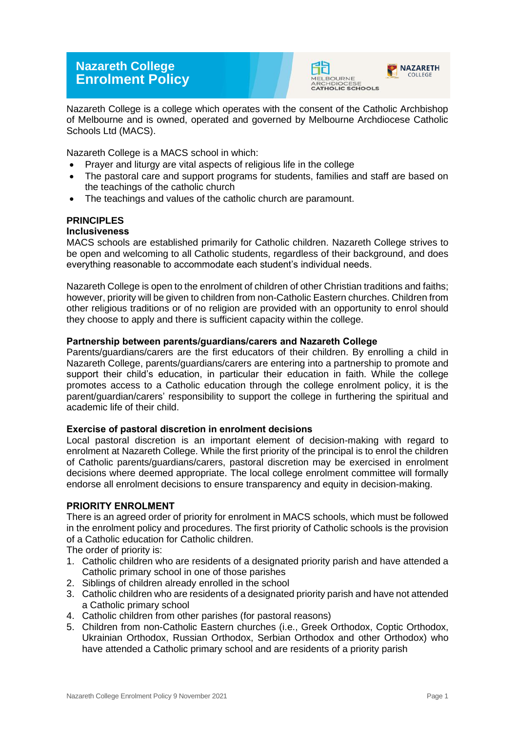# **Nazareth College Enrolment Policy**





Nazareth College is a college which operates with the consent of the Catholic Archbishop of Melbourne and is owned, operated and governed by Melbourne Archdiocese Catholic Schools Ltd (MACS).

Nazareth College is a MACS school in which:

- Prayer and liturgy are vital aspects of religious life in the college
- The pastoral care and support programs for students, families and staff are based on the teachings of the catholic church
- The teachings and values of the catholic church are paramount.

# **PRINCIPLES**

# **Inclusiveness**

MACS schools are established primarily for Catholic children. Nazareth College strives to be open and welcoming to all Catholic students, regardless of their background, and does everything reasonable to accommodate each student's individual needs.

Nazareth College is open to the enrolment of children of other Christian traditions and faiths; however, priority will be given to children from non-Catholic Eastern churches. Children from other religious traditions or of no religion are provided with an opportunity to enrol should they choose to apply and there is sufficient capacity within the college.

# **Partnership between parents/guardians/carers and Nazareth College**

Parents/guardians/carers are the first educators of their children. By enrolling a child in Nazareth College, parents/guardians/carers are entering into a partnership to promote and support their child's education, in particular their education in faith. While the college promotes access to a Catholic education through the college enrolment policy, it is the parent/guardian/carers' responsibility to support the college in furthering the spiritual and academic life of their child.

## **Exercise of pastoral discretion in enrolment decisions**

Local pastoral discretion is an important element of decision-making with regard to enrolment at Nazareth College. While the first priority of the principal is to enrol the children of Catholic parents/guardians/carers, pastoral discretion may be exercised in enrolment decisions where deemed appropriate. The local college enrolment committee will formally endorse all enrolment decisions to ensure transparency and equity in decision-making.

## **PRIORITY ENROLMENT**

There is an agreed order of priority for enrolment in MACS schools, which must be followed in the enrolment policy and procedures. The first priority of Catholic schools is the provision of a Catholic education for Catholic children.

The order of priority is:

- 1. Catholic children who are residents of a designated priority parish and have attended a Catholic primary school in one of those parishes
- 2. Siblings of children already enrolled in the school
- 3. Catholic children who are residents of a designated priority parish and have not attended a Catholic primary school
- 4. Catholic children from other parishes (for pastoral reasons)
- 5. Children from non-Catholic Eastern churches (i.e., Greek Orthodox, Coptic Orthodox, Ukrainian Orthodox, Russian Orthodox, Serbian Orthodox and other Orthodox) who have attended a Catholic primary school and are residents of a priority parish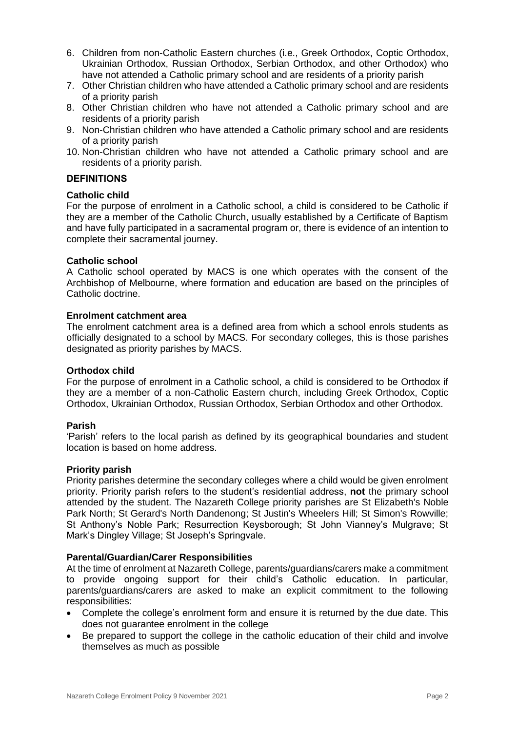- 6. Children from non-Catholic Eastern churches (i.e., Greek Orthodox, Coptic Orthodox, Ukrainian Orthodox, Russian Orthodox, Serbian Orthodox, and other Orthodox) who have not attended a Catholic primary school and are residents of a priority parish
- 7. Other Christian children who have attended a Catholic primary school and are residents of a priority parish
- 8. Other Christian children who have not attended a Catholic primary school and are residents of a priority parish
- 9. Non-Christian children who have attended a Catholic primary school and are residents of a priority parish
- 10. Non-Christian children who have not attended a Catholic primary school and are residents of a priority parish.

## **DEFINITIONS**

## **Catholic child**

For the purpose of enrolment in a Catholic school, a child is considered to be Catholic if they are a member of the Catholic Church, usually established by a Certificate of Baptism and have fully participated in a sacramental program or, there is evidence of an intention to complete their sacramental journey.

#### **Catholic school**

A Catholic school operated by MACS is one which operates with the consent of the Archbishop of Melbourne, where formation and education are based on the principles of Catholic doctrine.

## **Enrolment catchment area**

The enrolment catchment area is a defined area from which a school enrols students as officially designated to a school by MACS. For secondary colleges, this is those parishes designated as priority parishes by MACS.

#### **Orthodox child**

For the purpose of enrolment in a Catholic school, a child is considered to be Orthodox if they are a member of a non-Catholic Eastern church, including Greek Orthodox, Coptic Orthodox, Ukrainian Orthodox, Russian Orthodox, Serbian Orthodox and other Orthodox.

#### **Parish**

'Parish' refers to the local parish as defined by its geographical boundaries and student location is based on home address.

#### **Priority parish**

Priority parishes determine the secondary colleges where a child would be given enrolment priority. Priority parish refers to the student's residential address, **not** the primary school attended by the student. The Nazareth College priority parishes are St Elizabeth's Noble Park North; St Gerard's North Dandenong; St Justin's Wheelers Hill; St Simon's Rowville; St Anthony's Noble Park; Resurrection Keysborough; St John Vianney's Mulgrave; St Mark's Dingley Village; St Joseph's Springvale.

#### **Parental/Guardian/Carer Responsibilities**

At the time of enrolment at Nazareth College, parents/guardians/carers make a commitment to provide ongoing support for their child's Catholic education. In particular, parents/guardians/carers are asked to make an explicit commitment to the following responsibilities:

- Complete the college's enrolment form and ensure it is returned by the due date. This does not guarantee enrolment in the college
- Be prepared to support the college in the catholic education of their child and involve themselves as much as possible